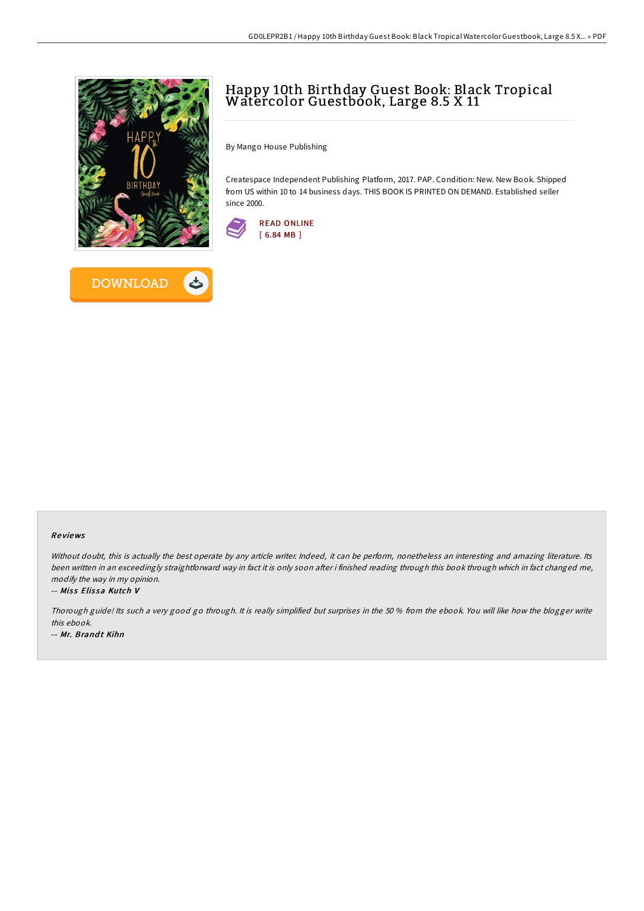



# Happy 10th Birthday Guest Book: Black Tropical Watercolor Guestbook, Large 8.5 X 11

By Mango House Publishing

Createspace Independent Publishing Platform, 2017. PAP. Condition: New. New Book. Shipped from US within 10 to 14 business days. THIS BOOK IS PRINTED ON DEMAND. Established seller since 2000.



# Re views

Without doubt, this is actually the best operate by any article writer. Indeed, it can be perform, nonetheless an interesting and amazing literature. Its been written in an exceedingly straightforward way in fact it is only soon after i finished reading through this book through which in fact changed me, modify the way in my opinion.

#### -- Miss Elissa Kutch V

Thorough guide! Its such <sup>a</sup> very good go through. It is really simplified but surprises in the 50 % from the ebook. You will like how the blogger write this ebook.

-- Mr. Brandt Kihn